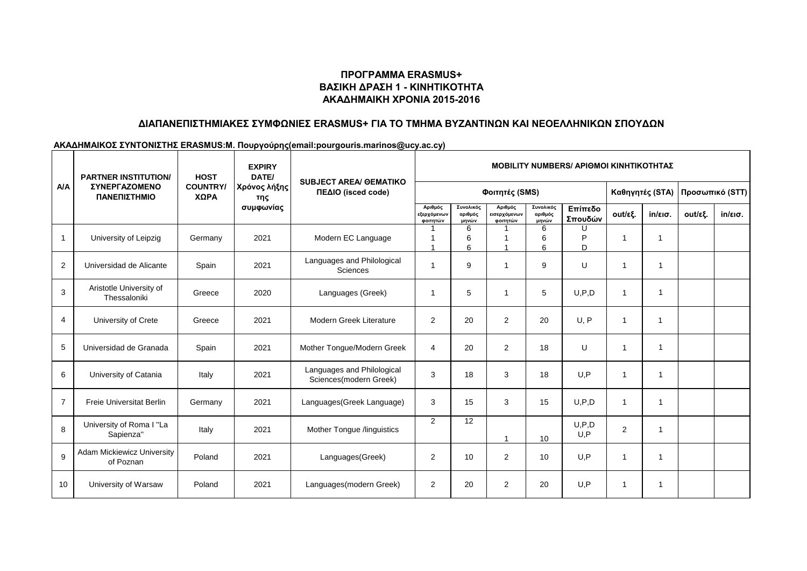## **ΠΡΟΓΡΑΜΜΑ ERASMUS+ ΒΑΣΙΚΗ ΔΡΑΣΗ 1 - ΚΙΝΗΤΙΚΟΤΗΤΑ ΑΚΑΔΗΜΑΙΚΗ ΧΡΟΝΙΑ 2015-2016**

## **ΔΙΑΠΑΝΕΠΙΣΤΗΜΙΑΚΕΣ ΣΥΜΦΩΝΙΕΣ ERASMUS+ ΓΙΑ ΤΟ ΤΜΗΜΑ ΒΥΖΑΝΤΙΝΩΝ ΚΑΙ ΝΕΟΕΛΛΗΝΙΚΩΝ ΣΠΟΥΔΩΝ**

#### **ΑΚΑΔΗΜΑΙΚΟΣ ΣΥΝΤΟΝΙΣΤΗΣ ERASMUS:Μ. Πουργούρης(email:pourgouris.marinos@ucy.ac.cy)**

| <b>A/A</b>     | <b>PARTNER INSTITUTION/</b><br><b>ΣΥΝΕΡΓΑΖΟΜΕΝΟ</b><br>ΠΑΝΕΠΙΣΤΗΜΙΟ | <b>HOST</b><br><b>COUNTRY/</b><br>ΧΩΡΑ | <b>EXPIRY</b><br>DATE/<br> Χρόνος λήξης<br>της | <b>SUBJECT AREA/ GEMATIKO</b><br>ΠΕΔΙΟ (isced code)  | <b>MOBILITY NUMBERS/ APIOMOI KINHTIKOTHTAZ</b> |                               |                                     |                               |                    |                 |                         |                 |                   |
|----------------|---------------------------------------------------------------------|----------------------------------------|------------------------------------------------|------------------------------------------------------|------------------------------------------------|-------------------------------|-------------------------------------|-------------------------------|--------------------|-----------------|-------------------------|-----------------|-------------------|
|                |                                                                     |                                        |                                                |                                                      | Φοιτητές (SMS)                                 |                               |                                     |                               |                    | Καθηγητές (STA) |                         | Προσωπικό (STT) |                   |
|                |                                                                     |                                        | συμφωνίας                                      |                                                      | Αριθμός<br>εξερχόμενων<br>φοιτητών             | Συνολικός<br>αριθμός<br>μηνών | Αριθμός<br>εισερχόμενων<br>φοιτητών | Συνολικός<br>αριθμός<br>μηνών | Επίπεδο<br>Σπουδών | out/εξ.         | $in/\epsilon$ ισ.       | out/εξ.         | $in/\epsilon$ ισ. |
|                | University of Leipzig                                               | Germany                                | 2021                                           | Modern EC Language                                   |                                                | 6<br>6<br>6                   |                                     | 6<br>6<br>6                   | P<br>D             | $\overline{1}$  | -1                      |                 |                   |
| 2              | Universidad de Alicante                                             | Spain                                  | 2021                                           | Languages and Philological<br>Sciences               |                                                | 9                             | 1                                   | 9                             | U                  | 1               | $\overline{1}$          |                 |                   |
| 3              | Aristotle University of<br>Thessaloniki                             | Greece                                 | 2020                                           | Languages (Greek)                                    | -1                                             | 5                             | $\overline{\mathbf{1}}$             | 5                             | U, P, D            | $\overline{1}$  | $\overline{1}$          |                 |                   |
| 4              | University of Crete                                                 | Greece                                 | 2021                                           | Modern Greek Literature                              | $\overline{2}$                                 | 20                            | $\overline{2}$                      | 20                            | U, P               | $\overline{1}$  | $\overline{\mathbf{1}}$ |                 |                   |
| 5              | Universidad de Granada                                              | Spain                                  | 2021                                           | Mother Tongue/Modern Greek                           | $\overline{4}$                                 | 20                            | 2                                   | 18                            | U                  | $\mathbf{1}$    | $\mathbf{1}$            |                 |                   |
| 6              | University of Catania                                               | Italy                                  | 2021                                           | Languages and Philological<br>Sciences(modern Greek) | 3                                              | 18                            | 3                                   | 18                            | U.P                | $\overline{1}$  | $\mathbf{1}$            |                 |                   |
| $\overline{7}$ | <b>Freie Universitat Berlin</b>                                     | Germany                                | 2021                                           | Languages(Greek Language)                            | 3                                              | 15                            | 3                                   | 15                            | U, P, D            | $\mathbf{1}$    | $\mathbf 1$             |                 |                   |
| 8              | University of Roma I "La<br>Sapienza"                               | Italy                                  | 2021                                           | Mother Tongue /linguistics                           | $\overline{2}$                                 | 12                            | -1                                  | 10                            | U, P, D<br>U.P     | 2               | $\overline{\mathbf{1}}$ |                 |                   |
| 9              | <b>Adam Mickiewicz University</b><br>of Poznan                      | Poland                                 | 2021                                           | Languages(Greek)                                     | $\overline{2}$                                 | 10                            | 2                                   | 10                            | U, P               | $\overline{1}$  | $\overline{1}$          |                 |                   |
| 10             | University of Warsaw                                                | Poland                                 | 2021                                           | Languages(modern Greek)                              | $\overline{2}$                                 | 20                            | $\overline{2}$                      | 20                            | U, P               | -1              | -1                      |                 |                   |